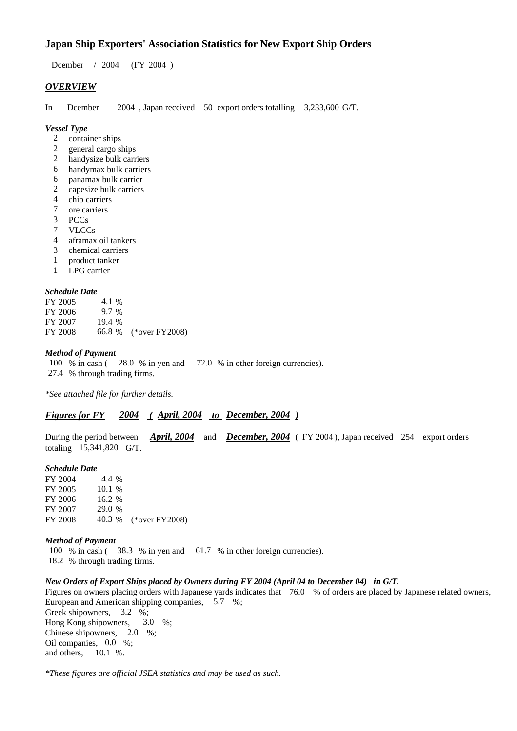## **Japan Ship Exporters' Association Statistics for New Export Ship Orders**

Dcember / 2004 (FY 2004 )

#### *OVERVIEW*

In Dcember 2004 , Japan received 50 export orders totalling 3,233,600 G/T.

#### *Vessel Type*

- 2 container ships
- 2 general cargo ships
- 2 handysize bulk carriers
- 6 handymax bulk carriers
- 6 panamax bulk carrier
- 2 capesize bulk carriers
- 4 chip carriers<br>7 ore carriers
- ore carriers
- 3 PCCs
- 7 VLCCs
- 4 aframax oil tankers
- 3 chemical carriers
- 1 product tanker
- 1 LPG carrier

#### *Schedule Date*

| FY 2005 | 4.1 %   |                       |
|---------|---------|-----------------------|
| FY 2006 | $9.7\%$ |                       |
| FY 2007 | 19.4%   |                       |
| FY 2008 |         | 66.8 % (*over FY2008) |

#### *Method of Payment*

100 % in cash ( 28.0 % in yen and 72.0 % in other foreign currencies). 27.4 % through trading firms.

*\*See attached file for further details.*

## *Figures for FY 2004 ( April, 2004 to December, 2004 )*

During the period between *April, 2004* and *December, 2004* ( FY 2004 ), Japan received 254 export orders totaling 15,341,820 G/T.

#### *Schedule Date*

FY 2004 4.4 % FY 2005 10.1 % FY 2006 16.2 % FY 2007 29.0 % FY 2008 40.3 % (\*over FY2008)

#### *Method of Payment*

100 % in cash ( 38.3 % in yen and 61.7 % in other foreign currencies). 18.2 % through trading firms.

#### *New Orders of Export Ships placed by Owners during FY 2004 (April 04 to December 04) in G/T.*

Figures on owners placing orders with Japanese yards indicates that 76.0 % of orders are placed by Japanese related owners, European and American shipping companies, 5.7 %; Greek shipowners, 3.2 %; Hong Kong shipowners, 3.0 %; Chinese shipowners, 2.0 %; Oil companies, 0.0 %; and others, 10.1 %.

*\*These figures are official JSEA statistics and may be used as such.*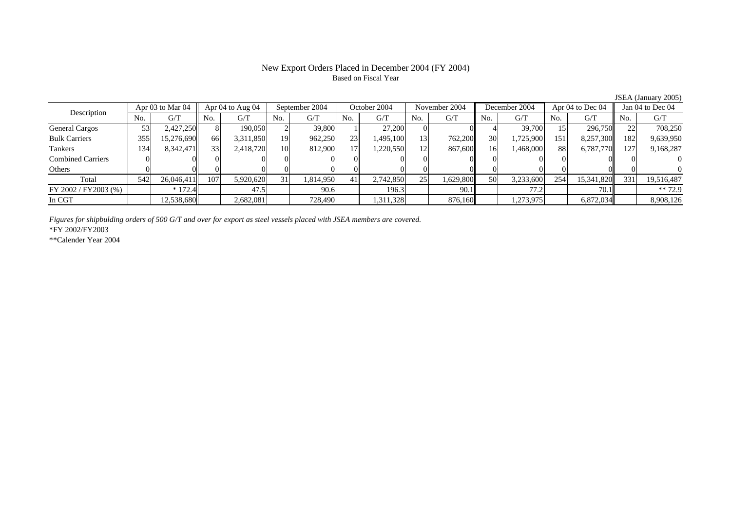# Based on Fiscal Year

Description Apr 03 to Mar 04 Apr 04 to Aug 04 September 2004 October 2004 November 2004 December 2004 Apr 04 to Dec 04 Jan 04 to Dec 04<br>No. 1 G/T No. 1 G/T No. 1 G/T No. 1 G/T No. 1 G/T No. 1 G/T No. 1 G/T No. 1 G/T No. 1  $No.$   $G/T$ T || No. | G/T || No. | G/T || No. | G/T || No. | G/T || G/T || No. | G/T || No. | G/T || No. | G/T General Cargos | 53| 2,427,250|| 8| 190,050| 2| 39,800| 1| 27,200| 0| 4| 39,700| 15| 296,750|| 22| 708,250 Bulk Carriers 355 15,276,690 66 3,311,850 19 962,250 23 1,495,100 13 762,200 30 1,725,900 151 8,257,300 182 9,639,950 Tankers 1344| 8,342,471|| 33| 2,418,720| 10| 812,900| 17| 1,220,550| 12| 867,600| 16| 1,468,000| 88| 6,787,770|| 127| 9,168,287 Combined Carriers 1 0 0 0 0 0 0 0 0 0 0 0 0 0 0 0 0 **Others** s and  $\vert 0$  0 0 0 0 0 0 0 0 0 0 0 0 0 0 0 Total 5422| 26,046,411|| 107| 5,920,620| 31| 1,814,950| 41| 2,742,850| 25| 1,629,800| 50| 3,233,600| 254| 15,341,820|| 331| 19,516,487  $\boxed{\text{FY 2002/FY2003 } (\%) }$  \* 172.4  $\boxed{\ }$  47.5 90.6 196.3 90.1 77.2 77.2 70.1 \*\* 72.9 In CGT12,538,680|| 2,682,081|| 728,490|| 1,311,328|| 876,160|| 1,273,975|| 6,872,034|| 8,908,126|| 1,273,975|

*Figures for shipbulding orders of 500 G/T and over for export as steel vessels placed with JSEA members are covered.*

\*FY 2002/FY2003

\*\*Calender Year 2004

JSEA (January 2005)

# New Export Orders Placed in December 2004 (FY 2004)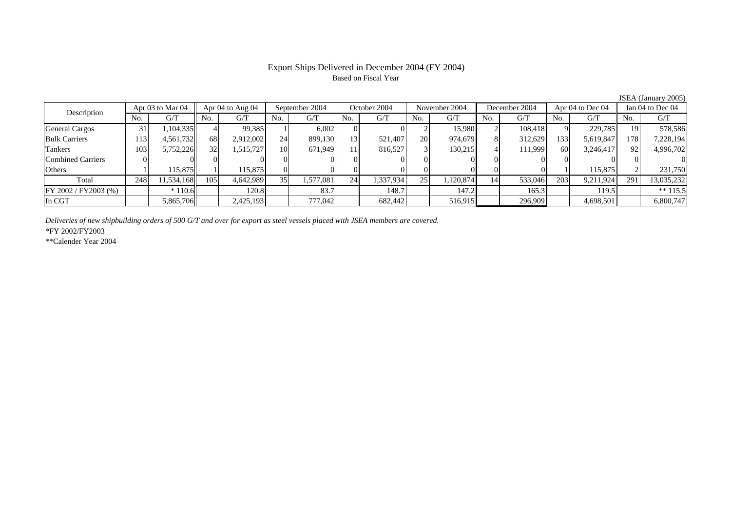## Export Ships Delivered in December 2004 (FY 2004) Based on Fiscal Year

|                          |     |                                        |     |           |                 |           |                 |           |               |           |                  |         |                  |           |     | $50.111$ (sundair $72000$ |
|--------------------------|-----|----------------------------------------|-----|-----------|-----------------|-----------|-----------------|-----------|---------------|-----------|------------------|---------|------------------|-----------|-----|---------------------------|
| Apr 03 to Mar 04         |     | Apr $04$ to Aug $04$<br>September 2004 |     |           | October 2004    |           | November 2004   |           | December 2004 |           | Apr 04 to Dec 04 |         | Jan 04 to Dec 04 |           |     |                           |
| Description              | No. | G/T                                    | No. | G/T       | No.             | G/T       | No.             | G/T       | No.           | G/T       | No.              | G/T     | No.              | G/T       | No. | G/T                       |
| <b>General Cargos</b>    | 31  | .104.335                               |     | 99,385    |                 | 6.002     |                 |           |               | 15.980    |                  | 108.418 |                  | 229.785   | 191 | 578,586                   |
| <b>Bulk Carriers</b>     | 113 | 4,561,732                              | 68  | 2,912,002 | 24              | 899,130   | 13 <sup>1</sup> | 521.407   | <b>20</b>     | 974,679   |                  | 312,629 | 133              | 5,619,847 | 178 | 7,228,194                 |
| Tankers                  | 103 | 5,752,226                              | 32  | 1,515,727 | 10 <sup>1</sup> | 671,949   | 11              | 816,527   |               | 130,215   |                  | 111,999 | 60               | 3,246,417 | 92  | 4,996,702                 |
| <b>Combined Carriers</b> |     |                                        |     |           |                 |           |                 |           |               |           |                  |         |                  |           |     |                           |
| Others                   |     | 115,875                                |     | 115,875   |                 |           |                 |           |               |           |                  |         |                  | 115,875   |     | 231,750                   |
| Total                    | 248 | 11,534,168                             | 105 | 4,642,989 | 35 <sub>1</sub> | 1,577,081 | 24              | 1,337,934 | 25            | 1,120,874 | 14               | 533,046 | 203              | 9.211.924 | 291 | 13,035,232                |
| FY 2002 / FY 2003 (%)    |     | $*110.6$                               |     | 120.8     |                 | 83.7      |                 | 148.7     |               | 147.2     |                  | 165.3   |                  | 119.5     |     | ** $115.5$                |
| In CGT                   |     | 5,865,706                              |     | 2,425,193 |                 | 777,042   |                 | 682,442   |               | 516,915   |                  | 296,909 |                  | 4,698,501 |     | 6,800,747                 |
|                          |     |                                        |     |           |                 |           |                 |           |               |           |                  |         |                  |           |     |                           |

*Deliveries of new shipbuilding orders of 500 G/T and over for export as steel vessels placed with JSEA members are covered.*

\*FY 2002/FY2003

\*\*Calender Year 2004

JSEA (January 2005)